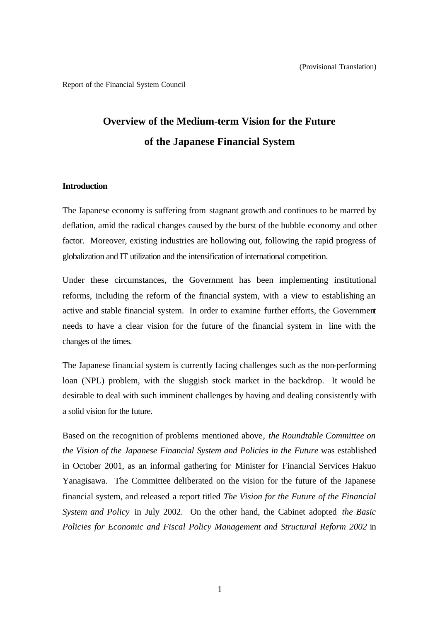Report of the Financial System Council

# **Overview of the Medium-term Vision for the Future of the Japanese Financial System**

### **Introduction**

The Japanese economy is suffering from stagnant growth and continues to be marred by deflation, amid the radical changes caused by the burst of the bubble economy and other factor. Moreover, existing industries are hollowing out, following the rapid progress of globalization and IT utilization and the intensification of international competition.

Under these circumstances, the Government has been implementing institutional reforms, including the reform of the financial system, with a view to establishing an active and stable financial system. In order to examine further efforts, the Government needs to have a clear vision for the future of the financial system in line with the changes of the times.

The Japanese financial system is currently facing challenges such as the non-performing loan (NPL) problem, with the sluggish stock market in the backdrop. It would be desirable to deal with such imminent challenges by having and dealing consistently with a solid vision for the future.

Based on the recognition of problems mentioned above, *the Roundtable Committee on the Vision of the Japanese Financial System and Policies in the Future* was established in October 2001, as an informal gathering for Minister for Financial Services Hakuo Yanagisawa. The Committee deliberated on the vision for the future of the Japanese financial system, and released a report titled *The Vision for the Future of the Financial System and Policy* in July 2002. On the other hand, the Cabinet adopted *the Basic Policies for Economic and Fiscal Policy Management and Structural Reform 2002* in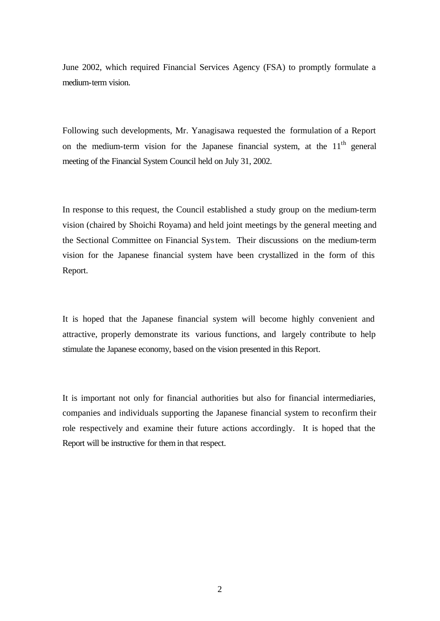June 2002, which required Financial Services Agency (FSA) to promptly formulate a medium-term vision.

Following such developments, Mr. Yanagisawa requested the formulation of a Report on the medium-term vision for the Japanese financial system, at the  $11<sup>th</sup>$  general meeting of the Financial System Council held on July 31, 2002.

In response to this request, the Council established a study group on the medium-term vision (chaired by Shoichi Royama) and held joint meetings by the general meeting and the Sectional Committee on Financial System. Their discussions on the medium-term vision for the Japanese financial system have been crystallized in the form of this Report.

It is hoped that the Japanese financial system will become highly convenient and attractive, properly demonstrate its various functions, and largely contribute to help stimulate the Japanese economy, based on the vision presented in this Report.

It is important not only for financial authorities but also for financial intermediaries, companies and individuals supporting the Japanese financial system to reconfirm their role respectively and examine their future actions accordingly. It is hoped that the Report will be instructive for them in that respect.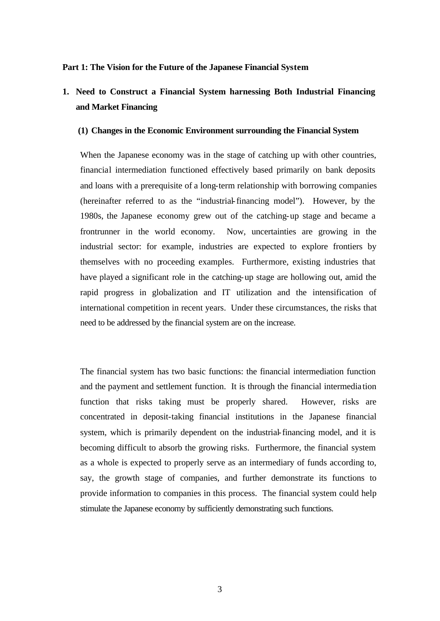#### **Part 1: The Vision for the Future of the Japanese Financial System**

# **1. Need to Construct a Financial System harnessing Both Industrial Financing and Market Financing**

#### **(1) Changes in the Economic Environment surrounding the Financial System**

When the Japanese economy was in the stage of catching up with other countries, financial intermediation functioned effectively based primarily on bank deposits and loans with a prerequisite of a long-term relationship with borrowing companies (hereinafter referred to as the "industrial-financing model"). However, by the 1980s, the Japanese economy grew out of the catching-up stage and became a frontrunner in the world economy. Now, uncertainties are growing in the industrial sector: for example, industries are expected to explore frontiers by themselves with no proceeding examples. Furthermore, existing industries that have played a significant role in the catching-up stage are hollowing out, amid the rapid progress in globalization and IT utilization and the intensification of international competition in recent years. Under these circumstances, the risks that need to be addressed by the financial system are on the increase.

The financial system has two basic functions: the financial intermediation function and the payment and settlement function. It is through the financial intermedia tion function that risks taking must be properly shared. However, risks are concentrated in deposit-taking financial institutions in the Japanese financial system, which is primarily dependent on the industrial-financing model, and it is becoming difficult to absorb the growing risks. Furthermore, the financial system as a whole is expected to properly serve as an intermediary of funds according to, say, the growth stage of companies, and further demonstrate its functions to provide information to companies in this process. The financial system could help stimulate the Japanese economy by sufficiently demonstrating such functions.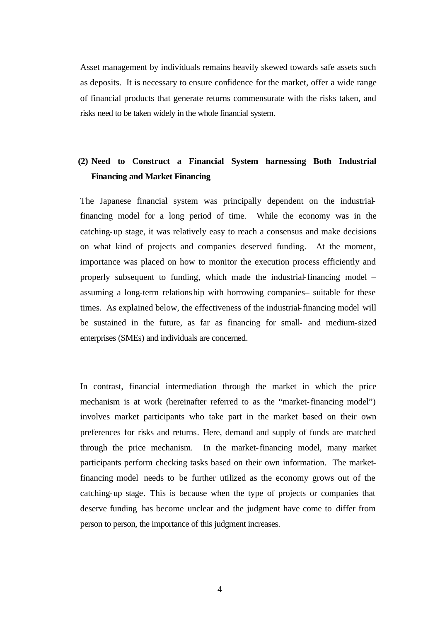Asset management by individuals remains heavily skewed towards safe assets such as deposits. It is necessary to ensure confidence for the market, offer a wide range of financial products that generate returns commensurate with the risks taken, and risks need to be taken widely in the whole financial system.

# **(2) Need to Construct a Financial System harnessing Both Industrial Financing and Market Financing**

The Japanese financial system was principally dependent on the industrialfinancing model for a long period of time. While the economy was in the catching-up stage, it was relatively easy to reach a consensus and make decisions on what kind of projects and companies deserved funding. At the moment, importance was placed on how to monitor the execution process efficiently and properly subsequent to funding, which made the industrial-financing model – assuming a long-term relationship with borrowing companies– suitable for these times. As explained below, the effectiveness of the industrial-financing model will be sustained in the future, as far as financing for small- and medium-sized enterprises (SMEs) and individuals are concerned.

In contrast, financial intermediation through the market in which the price mechanism is at work (hereinafter referred to as the "market-financing model") involves market participants who take part in the market based on their own preferences for risks and returns. Here, demand and supply of funds are matched through the price mechanism. In the market-financing model, many market participants perform checking tasks based on their own information. The marketfinancing model needs to be further utilized as the economy grows out of the catching-up stage. This is because when the type of projects or companies that deserve funding has become unclear and the judgment have come to differ from person to person, the importance of this judgment increases.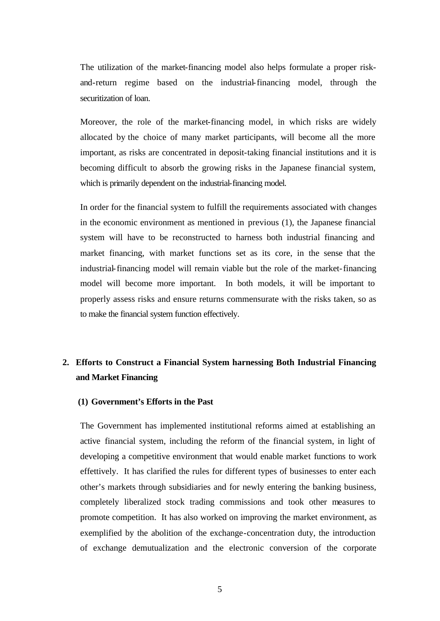The utilization of the market-financing model also helps formulate a proper riskand-return regime based on the industrial-financing model, through the securitization of loan.

Moreover, the role of the market-financing model, in which risks are widely allocated by the choice of many market participants, will become all the more important, as risks are concentrated in deposit-taking financial institutions and it is becoming difficult to absorb the growing risks in the Japanese financial system, which is primarily dependent on the industrial-financing model.

In order for the financial system to fulfill the requirements associated with changes in the economic environment as mentioned in previous (1), the Japanese financial system will have to be reconstructed to harness both industrial financing and market financing, with market functions set as its core, in the sense that the industrial-financing model will remain viable but the role of the market-financing model will become more important. In both models, it will be important to properly assess risks and ensure returns commensurate with the risks taken, so as to make the financial system function effectively.

# **2. Efforts to Construct a Financial System harnessing Both Industrial Financing and Market Financing**

# **(1) Government's Efforts in the Past**

The Government has implemented institutional reforms aimed at establishing an active financial system, including the reform of the financial system, in light of developing a competitive environment that would enable market functions to work effettively. It has clarified the rules for different types of businesses to enter each other's markets through subsidiaries and for newly entering the banking business, completely liberalized stock trading commissions and took other measures to promote competition. It has also worked on improving the market environment, as exemplified by the abolition of the exchange-concentration duty, the introduction of exchange demutualization and the electronic conversion of the corporate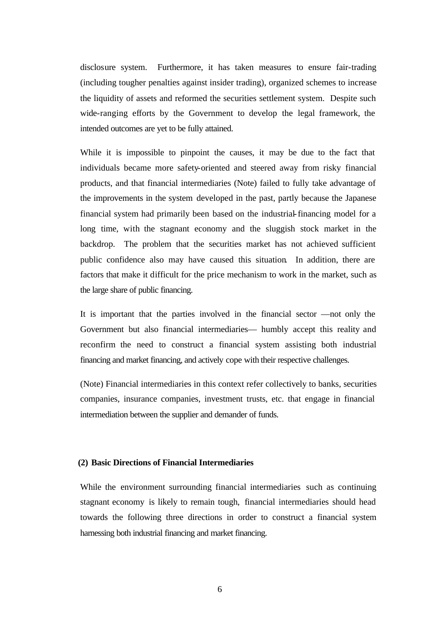disclosure system. Furthermore, it has taken measures to ensure fair-trading (including tougher penalties against insider trading), organized schemes to increase the liquidity of assets and reformed the securities settlement system. Despite such wide-ranging efforts by the Government to develop the legal framework, the intended outcomes are yet to be fully attained.

While it is impossible to pinpoint the causes, it may be due to the fact that individuals became more safety-oriented and steered away from risky financial products, and that financial intermediaries (Note) failed to fully take advantage of the improvements in the system developed in the past, partly because the Japanese financial system had primarily been based on the industrial-financing model for a long time, with the stagnant economy and the sluggish stock market in the backdrop. The problem that the securities market has not achieved sufficient public confidence also may have caused this situation. In addition, there are factors that make it difficult for the price mechanism to work in the market, such as the large share of public financing.

It is important that the parties involved in the financial sector —not only the Government but also financial intermediaries— humbly accept this reality and reconfirm the need to construct a financial system assisting both industrial financing and market financing, and actively cope with their respective challenges.

(Note) Financial intermediaries in this context refer collectively to banks, securities companies, insurance companies, investment trusts, etc. that engage in financial intermediation between the supplier and demander of funds.

### **(2) Basic Directions of Financial Intermediaries**

While the environment surrounding financial intermediaries such as continuing stagnant economy is likely to remain tough, financial intermediaries should head towards the following three directions in order to construct a financial system harnessing both industrial financing and market financing.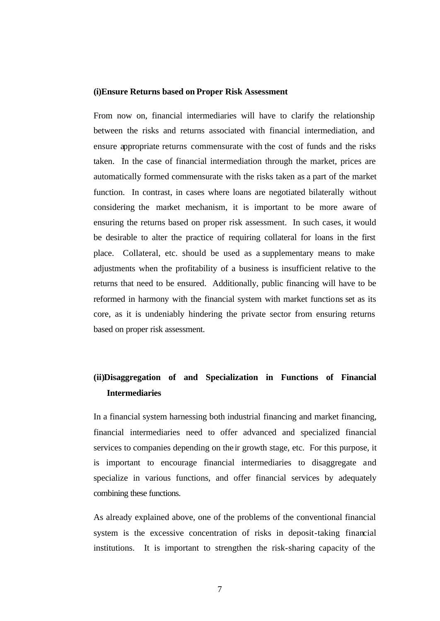#### **(i)Ensure Returns based on Proper Risk Assessment**

From now on, financial intermediaries will have to clarify the relationship between the risks and returns associated with financial intermediation, and ensure appropriate returns commensurate with the cost of funds and the risks taken. In the case of financial intermediation through the market, prices are automatically formed commensurate with the risks taken as a part of the market function. In contrast, in cases where loans are negotiated bilaterally without considering the market mechanism, it is important to be more aware of ensuring the returns based on proper risk assessment. In such cases, it would be desirable to alter the practice of requiring collateral for loans in the first place. Collateral, etc. should be used as a supplementary means to make adjustments when the profitability of a business is insufficient relative to the returns that need to be ensured. Additionally, public financing will have to be reformed in harmony with the financial system with market functions set as its core, as it is undeniably hindering the private sector from ensuring returns based on proper risk assessment.

# **(ii)Disaggregation of and Specialization in Functions of Financial Intermediaries**

In a financial system harnessing both industrial financing and market financing, financial intermediaries need to offer advanced and specialized financial services to companies depending on the ir growth stage, etc. For this purpose, it is important to encourage financial intermediaries to disaggregate and specialize in various functions, and offer financial services by adequately combining these functions.

As already explained above, one of the problems of the conventional financial system is the excessive concentration of risks in deposit-taking financial institutions. It is important to strengthen the risk-sharing capacity of the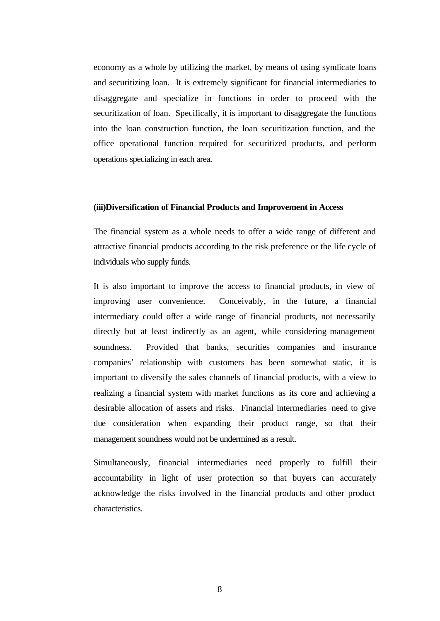economy as a whole by utilizing the market, by means of using syndicate loans and securitizing loan. It is extremely significant for financial intermediaries to disaggregate and specialize in functions in order to proceed with the securitization of loan. Specifically, it is important to disaggregate the functions into the loan construction function, the loan securitization function, and the office operational function required for securitized products, and perform operations specializing in each area.

#### **(iii)Diversification of Financial Products and Improvement in Access**

The financial system as a whole needs to offer a wide range of different and attractive financial products according to the risk preference or the life cycle of individuals who supply funds.

It is also important to improve the access to financial products, in view of improving user convenience. Conceivably, in the future, a financial intermediary could offer a wide range of financial products, not necessarily directly but at least indirectly as an agent, while considering management soundness. Provided that banks, securities companies and insurance companies' relationship with customers has been somewhat static, it is important to diversify the sales channels of financial products, with a view to realizing a financial system with market functions as its core and achieving a desirable allocation of assets and risks. Financial intermediaries need to give due consideration when expanding their product range, so that their management soundness would not be undermined as a result.

Simultaneously, financial intermediaries need properly to fulfill their accountability in light of user protection so that buyers can accurately acknowledge the risks involved in the financial products and other product characteristics.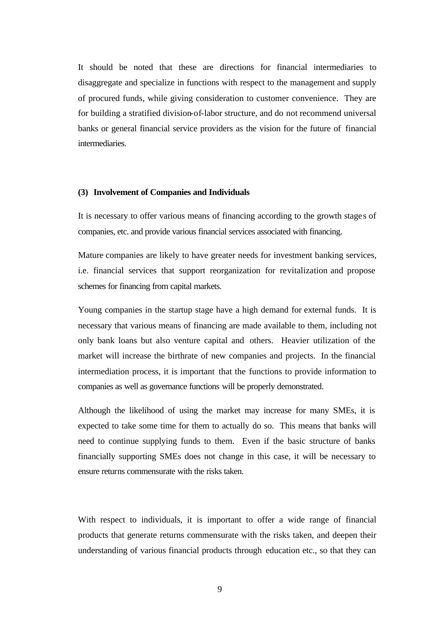It should be noted that these are directions for financial intermediaries to disaggregate and specialize in functions with respect to the management and supply of procured funds, while giving consideration to customer convenience. They are for building a stratified division-of-labor structure, and do not recommend universal banks or general financial service providers as the vision for the future of financial intermediaries.

### **(3) Involvement of Companies and Individuals**

It is necessary to offer various means of financing according to the growth stage s of companies, etc. and provide various financial services associated with financing.

Mature companies are likely to have greater needs for investment banking services, i.e. financial services that support reorganization for revitalization and propose schemes for financing from capital markets.

Young companies in the startup stage have a high demand for external funds. It is necessary that various means of financing are made available to them, including not only bank loans but also venture capital and others. Heavier utilization of the market will increase the birthrate of new companies and projects. In the financial intermediation process, it is important that the functions to provide information to companies as well as governance functions will be properly demonstrated.

Although the likelihood of using the market may increase for many SMEs, it is expected to take some time for them to actually do so. This means that banks will need to continue supplying funds to them. Even if the basic structure of banks financially supporting SMEs does not change in this case, it will be necessary to ensure returns commensurate with the risks taken.

With respect to individuals, it is important to offer a wide range of financial products that generate returns commensurate with the risks taken, and deepen their understanding of various financial products through education etc., so that they can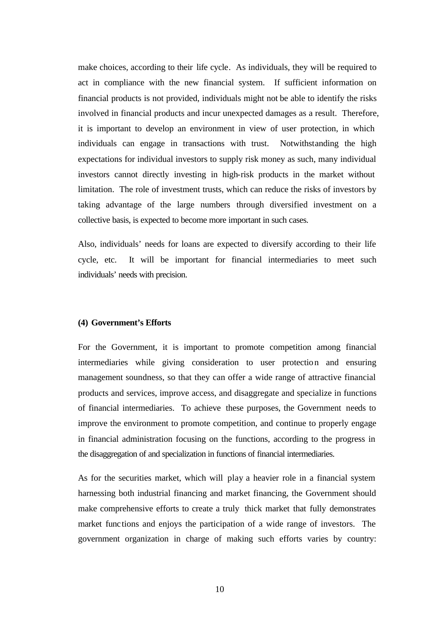make choices, according to their life cycle. As individuals, they will be required to act in compliance with the new financial system. If sufficient information on financial products is not provided, individuals might not be able to identify the risks involved in financial products and incur unexpected damages as a result. Therefore, it is important to develop an environment in view of user protection, in which individuals can engage in transactions with trust. Notwithstanding the high expectations for individual investors to supply risk money as such, many individual investors cannot directly investing in high-risk products in the market without limitation. The role of investment trusts, which can reduce the risks of investors by taking advantage of the large numbers through diversified investment on a collective basis, is expected to become more important in such cases.

Also, individuals' needs for loans are expected to diversify according to their life cycle, etc. It will be important for financial intermediaries to meet such individuals' needs with precision.

#### **(4) Government's Efforts**

For the Government, it is important to promote competition among financial intermediaries while giving consideration to user protection and ensuring management soundness, so that they can offer a wide range of attractive financial products and services, improve access, and disaggregate and specialize in functions of financial intermediaries. To achieve these purposes, the Government needs to improve the environment to promote competition, and continue to properly engage in financial administration focusing on the functions, according to the progress in the disaggregation of and specialization in functions of financial intermediaries.

As for the securities market, which will play a heavier role in a financial system harnessing both industrial financing and market financing, the Government should make comprehensive efforts to create a truly thick market that fully demonstrates market functions and enjoys the participation of a wide range of investors. The government organization in charge of making such efforts varies by country: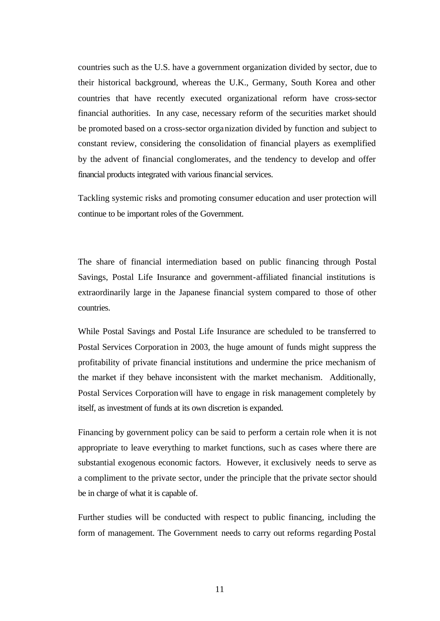countries such as the U.S. have a government organization divided by sector, due to their historical background, whereas the U.K., Germany, South Korea and other countries that have recently executed organizational reform have cross-sector financial authorities. In any case, necessary reform of the securities market should be promoted based on a cross-sector organization divided by function and subject to constant review, considering the consolidation of financial players as exemplified by the advent of financial conglomerates, and the tendency to develop and offer financial products integrated with various financial services.

Tackling systemic risks and promoting consumer education and user protection will continue to be important roles of the Government.

The share of financial intermediation based on public financing through Postal Savings, Postal Life Insurance and government-affiliated financial institutions is extraordinarily large in the Japanese financial system compared to those of other countries.

While Postal Savings and Postal Life Insurance are scheduled to be transferred to Postal Services Corporation in 2003, the huge amount of funds might suppress the profitability of private financial institutions and undermine the price mechanism of the market if they behave inconsistent with the market mechanism. Additionally, Postal Services Corporation will have to engage in risk management completely by itself, as investment of funds at its own discretion is expanded.

Financing by government policy can be said to perform a certain role when it is not appropriate to leave everything to market functions, such as cases where there are substantial exogenous economic factors. However, it exclusively needs to serve as a compliment to the private sector, under the principle that the private sector should be in charge of what it is capable of.

Further studies will be conducted with respect to public financing, including the form of management. The Government needs to carry out reforms regarding Postal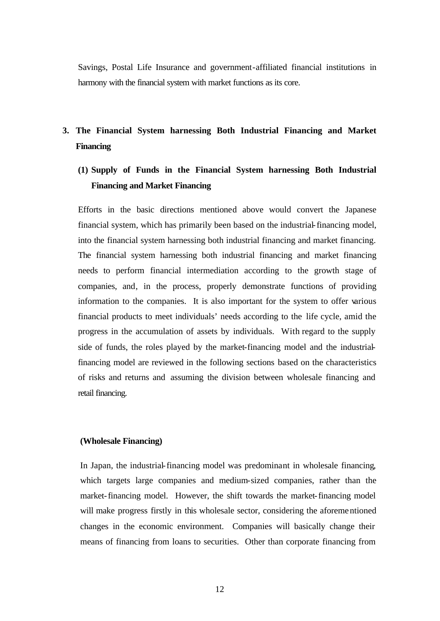Savings, Postal Life Insurance and government-affiliated financial institutions in harmony with the financial system with market functions as its core.

# **3. The Financial System harnessing Both Industrial Financing and Market Financing**

# **(1) Supply of Funds in the Financial System harnessing Both Industrial Financing and Market Financing**

Efforts in the basic directions mentioned above would convert the Japanese financial system, which has primarily been based on the industrial-financing model, into the financial system harnessing both industrial financing and market financing. The financial system harnessing both industrial financing and market financing needs to perform financial intermediation according to the growth stage of companies, and, in the process, properly demonstrate functions of providing information to the companies. It is also important for the system to offer various financial products to meet individuals' needs according to the life cycle, amid the progress in the accumulation of assets by individuals. With regard to the supply side of funds, the roles played by the market-financing model and the industrialfinancing model are reviewed in the following sections based on the characteristics of risks and returns and assuming the division between wholesale financing and retail financing.

### **(Wholesale Financing)**

In Japan, the industrial-financing model was predominant in wholesale financing, which targets large companies and medium-sized companies, rather than the market-financing model. However, the shift towards the market-financing model will make progress firstly in this wholesale sector, considering the aforementioned changes in the economic environment. Companies will basically change their means of financing from loans to securities. Other than corporate financing from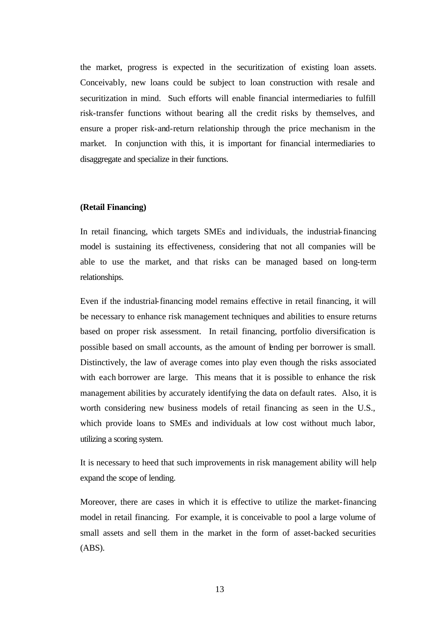the market, progress is expected in the securitization of existing loan assets. Conceivably, new loans could be subject to loan construction with resale and securitization in mind. Such efforts will enable financial intermediaries to fulfill risk-transfer functions without bearing all the credit risks by themselves, and ensure a proper risk-and-return relationship through the price mechanism in the market. In conjunction with this, it is important for financial intermediaries to disaggregate and specialize in their functions.

# **(Retail Financing)**

In retail financing, which targets SMEs and individuals, the industrial-financing model is sustaining its effectiveness, considering that not all companies will be able to use the market, and that risks can be managed based on long-term relationships.

Even if the industrial-financing model remains effective in retail financing, it will be necessary to enhance risk management techniques and abilities to ensure returns based on proper risk assessment. In retail financing, portfolio diversification is possible based on small accounts, as the amount of lending per borrower is small. Distinctively, the law of average comes into play even though the risks associated with each borrower are large. This means that it is possible to enhance the risk management abilities by accurately identifying the data on default rates. Also, it is worth considering new business models of retail financing as seen in the U.S., which provide loans to SMEs and individuals at low cost without much labor, utilizing a scoring system.

It is necessary to heed that such improvements in risk management ability will help expand the scope of lending.

Moreover, there are cases in which it is effective to utilize the market-financing model in retail financing. For example, it is conceivable to pool a large volume of small assets and sell them in the market in the form of asset-backed securities (ABS).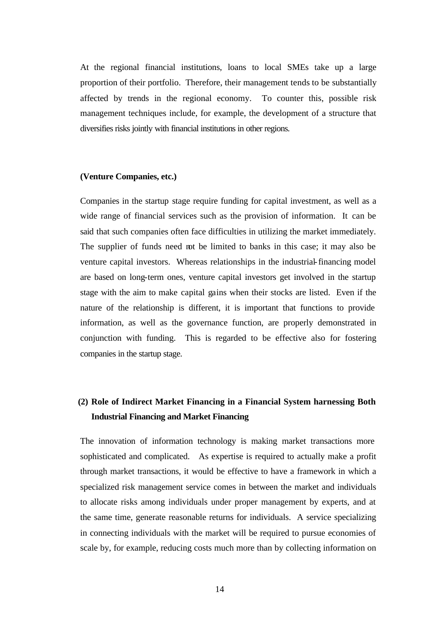At the regional financial institutions, loans to local SMEs take up a large proportion of their portfolio. Therefore, their management tends to be substantially affected by trends in the regional economy. To counter this, possible risk management techniques include, for example, the development of a structure that diversifies risks jointly with financial institutions in other regions.

# **(Venture Companies, etc.)**

Companies in the startup stage require funding for capital investment, as well as a wide range of financial services such as the provision of information. It can be said that such companies often face difficulties in utilizing the market immediately. The supplier of funds need not be limited to banks in this case; it may also be venture capital investors. Whereas relationships in the industrial-financing model are based on long-term ones, venture capital investors get involved in the startup stage with the aim to make capital gains when their stocks are listed. Even if the nature of the relationship is different, it is important that functions to provide information, as well as the governance function, are properly demonstrated in conjunction with funding. This is regarded to be effective also for fostering companies in the startup stage.

# **(2) Role of Indirect Market Financing in a Financial System harnessing Both Industrial Financing and Market Financing**

The innovation of information technology is making market transactions more sophisticated and complicated. As expertise is required to actually make a profit through market transactions, it would be effective to have a framework in which a specialized risk management service comes in between the market and individuals to allocate risks among individuals under proper management by experts, and at the same time, generate reasonable returns for individuals. A service specializing in connecting individuals with the market will be required to pursue economies of scale by, for example, reducing costs much more than by collecting information on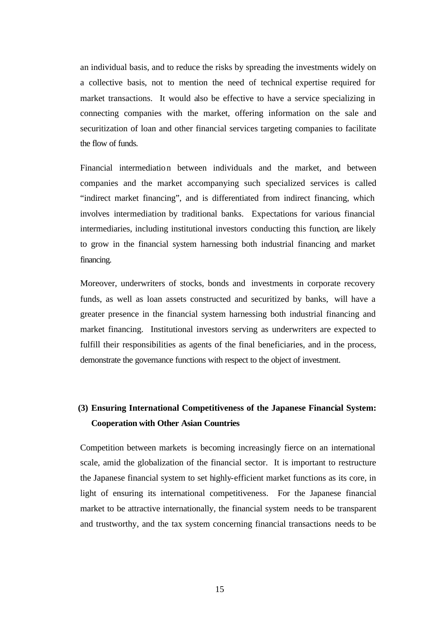an individual basis, and to reduce the risks by spreading the investments widely on a collective basis, not to mention the need of technical expertise required for market transactions. It would also be effective to have a service specializing in connecting companies with the market, offering information on the sale and securitization of loan and other financial services targeting companies to facilitate the flow of funds.

Financial intermediation between individuals and the market, and between companies and the market accompanying such specialized services is called "indirect market financing", and is differentiated from indirect financing, which involves intermediation by traditional banks. Expectations for various financial intermediaries, including institutional investors conducting this function, are likely to grow in the financial system harnessing both industrial financing and market financing.

Moreover, underwriters of stocks, bonds and investments in corporate recovery funds, as well as loan assets constructed and securitized by banks, will have a greater presence in the financial system harnessing both industrial financing and market financing. Institutional investors serving as underwriters are expected to fulfill their responsibilities as agents of the final beneficiaries, and in the process, demonstrate the governance functions with respect to the object of investment.

# **(3) Ensuring International Competitiveness of the Japanese Financial System: Cooperation with Other Asian Countries**

Competition between markets is becoming increasingly fierce on an international scale, amid the globalization of the financial sector. It is important to restructure the Japanese financial system to set highly-efficient market functions as its core, in light of ensuring its international competitiveness. For the Japanese financial market to be attractive internationally, the financial system needs to be transparent and trustworthy, and the tax system concerning financial transactions needs to be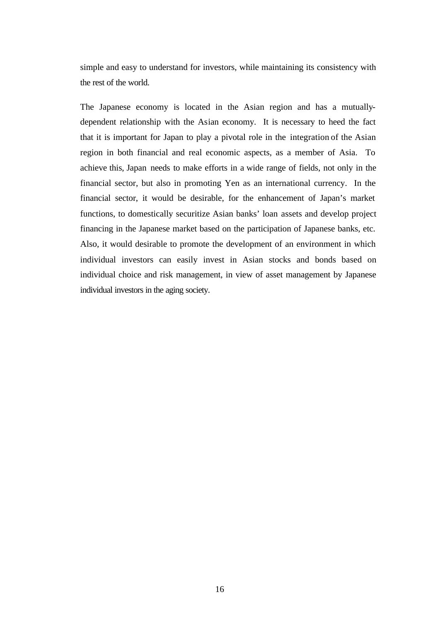simple and easy to understand for investors, while maintaining its consistency with the rest of the world.

The Japanese economy is located in the Asian region and has a mutuallydependent relationship with the Asian economy. It is necessary to heed the fact that it is important for Japan to play a pivotal role in the integration of the Asian region in both financial and real economic aspects, as a member of Asia. To achieve this, Japan needs to make efforts in a wide range of fields, not only in the financial sector, but also in promoting Yen as an international currency. In the financial sector, it would be desirable, for the enhancement of Japan's market functions, to domestically securitize Asian banks' loan assets and develop project financing in the Japanese market based on the participation of Japanese banks, etc. Also, it would desirable to promote the development of an environment in which individual investors can easily invest in Asian stocks and bonds based on individual choice and risk management, in view of asset management by Japanese individual investors in the aging society.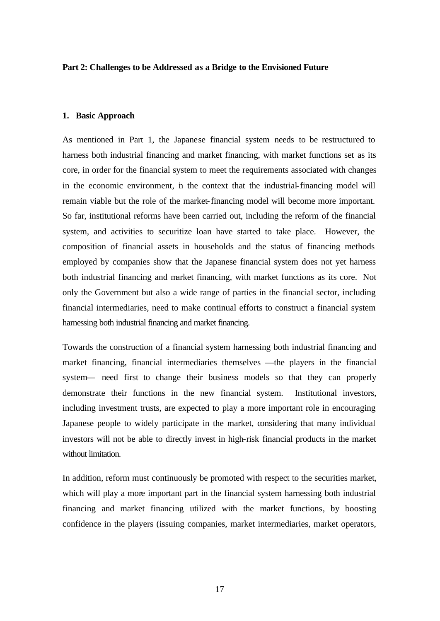#### **Part 2: Challenges to be Addressed as a Bridge to the Envisioned Future**

#### **1. Basic Approach**

As mentioned in Part 1, the Japanese financial system needs to be restructured to harness both industrial financing and market financing, with market functions set as its core, in order for the financial system to meet the requirements associated with changes in the economic environment, in the context that the industrial-financing model will remain viable but the role of the market-financing model will become more important. So far, institutional reforms have been carried out, including the reform of the financial system, and activities to securitize loan have started to take place. However, the composition of financial assets in households and the status of financing methods employed by companies show that the Japanese financial system does not yet harness both industrial financing and market financing, with market functions as its core. Not only the Government but also a wide range of parties in the financial sector, including financial intermediaries, need to make continual efforts to construct a financial system harnessing both industrial financing and market financing.

Towards the construction of a financial system harnessing both industrial financing and market financing, financial intermediaries themselves —the players in the financial system— need first to change their business models so that they can properly demonstrate their functions in the new financial system. Institutional investors, including investment trusts, are expected to play a more important role in encouraging Japanese people to widely participate in the market, considering that many individual investors will not be able to directly invest in high-risk financial products in the market without limitation.

In addition, reform must continuously be promoted with respect to the securities market, which will play a more important part in the financial system harnessing both industrial financing and market financing utilized with the market functions, by boosting confidence in the players (issuing companies, market intermediaries, market operators,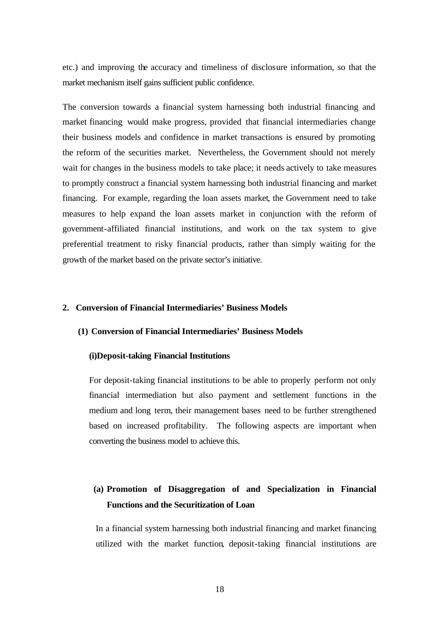etc.) and improving the accuracy and timeliness of disclosure information, so that the market mechanism itself gains sufficient public confidence.

The conversion towards a financial system harnessing both industrial financing and market financing would make progress, provided that financial intermediaries change their business models and confidence in market transactions is ensured by promoting the reform of the securities market. Nevertheless, the Government should not merely wait for changes in the business models to take place; it needs actively to take measures to promptly construct a financial system harnessing both industrial financing and market financing. For example, regarding the loan assets market, the Government need to take measures to help expand the loan assets market in conjunction with the reform of government-affiliated financial institutions, and work on the tax system to give preferential treatment to risky financial products, rather than simply waiting for the growth of the market based on the private sector's initiative.

# **2. Conversion of Financial Intermediaries' Business Models**

### **(1) Conversion of Financial Intermediaries' Business Models**

#### **(i)Deposit-taking Financial Institutions**

For deposit-taking financial institutions to be able to properly perform not only financial intermediation but also payment and settlement functions in the medium and long term, their management bases need to be further strengthened based on increased profitability. The following aspects are important when converting the business model to achieve this.

# **(a) Promotion of Disaggregation of and Specialization in Financial Functions and the Securitization of Loan**

In a financial system harnessing both industrial financing and market financing utilized with the market function, deposit-taking financial institutions are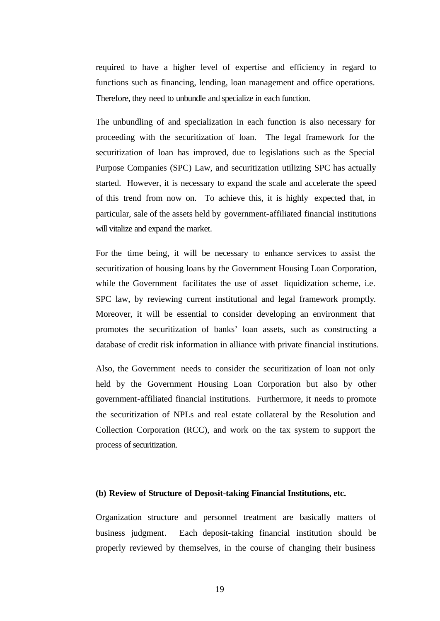required to have a higher level of expertise and efficiency in regard to functions such as financing, lending, loan management and office operations. Therefore, they need to unbundle and specialize in each function.

The unbundling of and specialization in each function is also necessary for proceeding with the securitization of loan. The legal framework for the securitization of loan has improved, due to legislations such as the Special Purpose Companies (SPC) Law, and securitization utilizing SPC has actually started. However, it is necessary to expand the scale and accelerate the speed of this trend from now on. To achieve this, it is highly expected that, in particular, sale of the assets held by government-affiliated financial institutions will vitalize and expand the market.

For the time being, it will be necessary to enhance services to assist the securitization of housing loans by the Government Housing Loan Corporation, while the Government facilitates the use of asset liquidization scheme, i.e. SPC law, by reviewing current institutional and legal framework promptly. Moreover, it will be essential to consider developing an environment that promotes the securitization of banks' loan assets, such as constructing a database of credit risk information in alliance with private financial institutions.

Also, the Government needs to consider the securitization of loan not only held by the Government Housing Loan Corporation but also by other government-affiliated financial institutions. Furthermore, it needs to promote the securitization of NPLs and real estate collateral by the Resolution and Collection Corporation (RCC), and work on the tax system to support the process of securitization.

# **(b) Review of Structure of Deposit-taking Financial Institutions, etc.**

Organization structure and personnel treatment are basically matters of business judgment. Each deposit-taking financial institution should be properly reviewed by themselves, in the course of changing their business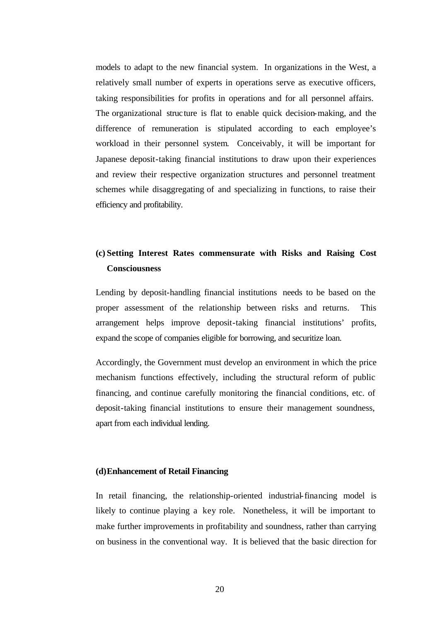models to adapt to the new financial system. In organizations in the West, a relatively small number of experts in operations serve as executive officers, taking responsibilities for profits in operations and for all personnel affairs. The organizational structure is flat to enable quick decision-making, and the difference of remuneration is stipulated according to each employee's workload in their personnel system. Conceivably, it will be important for Japanese deposit-taking financial institutions to draw upon their experiences and review their respective organization structures and personnel treatment schemes while disaggregating of and specializing in functions, to raise their efficiency and profitability.

# **(c) Setting Interest Rates commensurate with Risks and Raising Cost Consciousness**

Lending by deposit-handling financial institutions needs to be based on the proper assessment of the relationship between risks and returns. This arrangement helps improve deposit-taking financial institutions' profits, expand the scope of companies eligible for borrowing, and securitize loan.

Accordingly, the Government must develop an environment in which the price mechanism functions effectively, including the structural reform of public financing, and continue carefully monitoring the financial conditions, etc. of deposit-taking financial institutions to ensure their management soundness, apart from each individual lending.

# **(d)Enhancement of Retail Financing**

In retail financing, the relationship-oriented industrial-financing model is likely to continue playing a key role. Nonetheless, it will be important to make further improvements in profitability and soundness, rather than carrying on business in the conventional way. It is believed that the basic direction for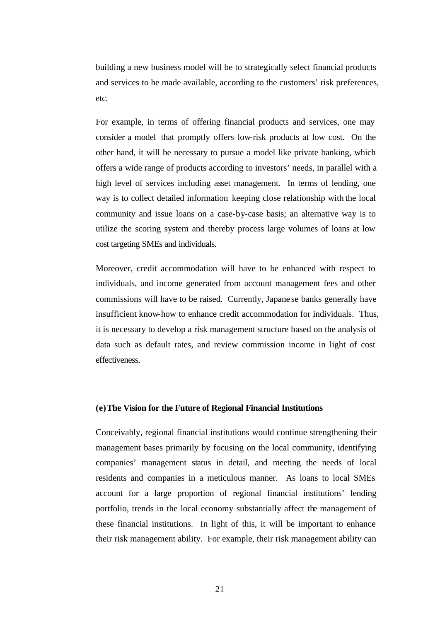building a new business model will be to strategically select financial products and services to be made available, according to the customers' risk preferences, etc.

For example, in terms of offering financial products and services, one may consider a model that promptly offers low-risk products at low cost. On the other hand, it will be necessary to pursue a model like private banking, which offers a wide range of products according to investors' needs, in parallel with a high level of services including asset management. In terms of lending, one way is to collect detailed information keeping close relationship with the local community and issue loans on a case-by-case basis; an alternative way is to utilize the scoring system and thereby process large volumes of loans at low cost targeting SMEs and individuals.

Moreover, credit accommodation will have to be enhanced with respect to individuals, and income generated from account management fees and other commissions will have to be raised. Currently, Japane se banks generally have insufficient know-how to enhance credit accommodation for individuals. Thus, it is necessary to develop a risk management structure based on the analysis of data such as default rates, and review commission income in light of cost effectiveness.

# **(e)The Vision for the Future of Regional Financial Institutions**

Conceivably, regional financial institutions would continue strengthening their management bases primarily by focusing on the local community, identifying companies' management status in detail, and meeting the needs of local residents and companies in a meticulous manner. As loans to local SMEs account for a large proportion of regional financial institutions' lending portfolio, trends in the local economy substantially affect the management of these financial institutions. In light of this, it will be important to enhance their risk management ability. For example, their risk management ability can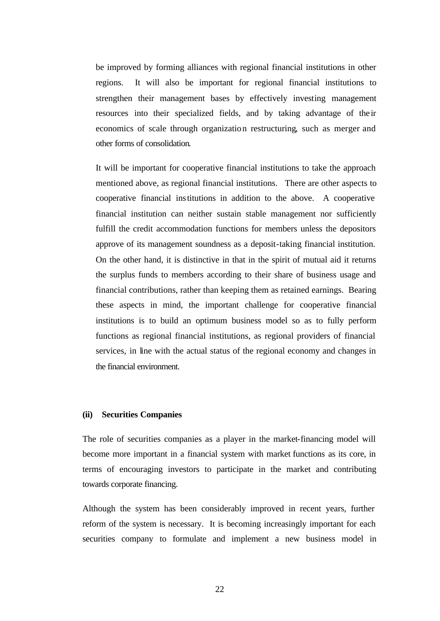be improved by forming alliances with regional financial institutions in other regions. It will also be important for regional financial institutions to strengthen their management bases by effectively investing management resources into their specialized fields, and by taking advantage of the ir economics of scale through organization restructuring, such as merger and other forms of consolidation.

It will be important for cooperative financial institutions to take the approach mentioned above, as regional financial institutions. There are other aspects to cooperative financial institutions in addition to the above. A cooperative financial institution can neither sustain stable management nor sufficiently fulfill the credit accommodation functions for members unless the depositors approve of its management soundness as a deposit-taking financial institution. On the other hand, it is distinctive in that in the spirit of mutual aid it returns the surplus funds to members according to their share of business usage and financial contributions, rather than keeping them as retained earnings. Bearing these aspects in mind, the important challenge for cooperative financial institutions is to build an optimum business model so as to fully perform functions as regional financial institutions, as regional providers of financial services, in line with the actual status of the regional economy and changes in the financial environment.

### **(ii) Securities Companies**

The role of securities companies as a player in the market-financing model will become more important in a financial system with market functions as its core, in terms of encouraging investors to participate in the market and contributing towards corporate financing.

Although the system has been considerably improved in recent years, further reform of the system is necessary. It is becoming increasingly important for each securities company to formulate and implement a new business model in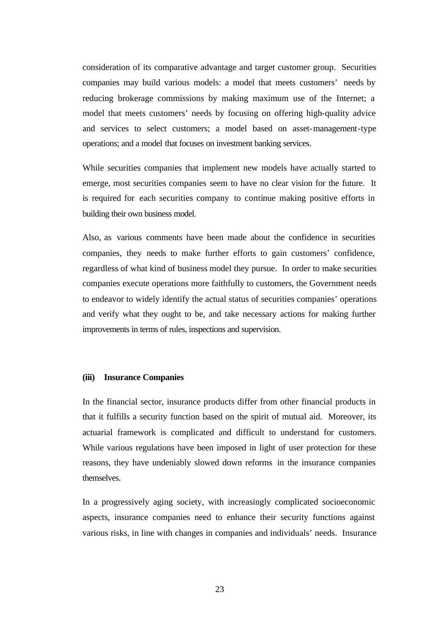consideration of its comparative advantage and target customer group. Securities companies may build various models: a model that meets customers' needs by reducing brokerage commissions by making maximum use of the Internet; a model that meets customers' needs by focusing on offering high-quality advice and services to select customers; a model based on asset-management-type operations; and a model that focuses on investment banking services.

While securities companies that implement new models have actually started to emerge, most securities companies seem to have no clear vision for the future. It is required for each securities company to continue making positive efforts in building their own business model.

Also, as various comments have been made about the confidence in securities companies, they needs to make further efforts to gain customers' confidence, regardless of what kind of business model they pursue. In order to make securities companies execute operations more faithfully to customers, the Government needs to endeavor to widely identify the actual status of securities companies' operations and verify what they ought to be, and take necessary actions for making further improvements in terms of rules, inspections and supervision.

# **(iii) Insurance Companies**

In the financial sector, insurance products differ from other financial products in that it fulfills a security function based on the spirit of mutual aid. Moreover, its actuarial framework is complicated and difficult to understand for customers. While various regulations have been imposed in light of user protection for these reasons, they have undeniably slowed down reforms in the insurance companies themselves.

In a progressively aging society, with increasingly complicated socioeconomic aspects, insurance companies need to enhance their security functions against various risks, in line with changes in companies and individuals' needs. Insurance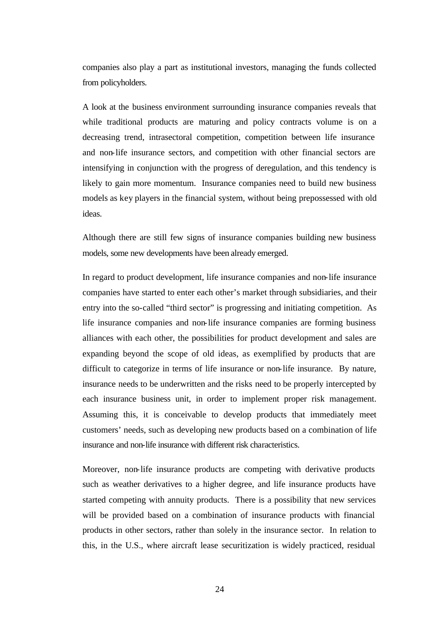companies also play a part as institutional investors, managing the funds collected from policyholders.

A look at the business environment surrounding insurance companies reveals that while traditional products are maturing and policy contracts volume is on a decreasing trend, intrasectoral competition, competition between life insurance and non-life insurance sectors, and competition with other financial sectors are intensifying in conjunction with the progress of deregulation, and this tendency is likely to gain more momentum. Insurance companies need to build new business models as key players in the financial system, without being prepossessed with old ideas.

Although there are still few signs of insurance companies building new business models, some new developments have been already emerged.

In regard to product development, life insurance companies and non-life insurance companies have started to enter each other's market through subsidiaries, and their entry into the so-called "third sector" is progressing and initiating competition. As life insurance companies and non-life insurance companies are forming business alliances with each other, the possibilities for product development and sales are expanding beyond the scope of old ideas, as exemplified by products that are difficult to categorize in terms of life insurance or non-life insurance. By nature, insurance needs to be underwritten and the risks need to be properly intercepted by each insurance business unit, in order to implement proper risk management. Assuming this, it is conceivable to develop products that immediately meet customers' needs, such as developing new products based on a combination of life insurance and non-life insurance with different risk characteristics.

Moreover, non-life insurance products are competing with derivative products such as weather derivatives to a higher degree, and life insurance products have started competing with annuity products. There is a possibility that new services will be provided based on a combination of insurance products with financial products in other sectors, rather than solely in the insurance sector. In relation to this, in the U.S., where aircraft lease securitization is widely practiced, residual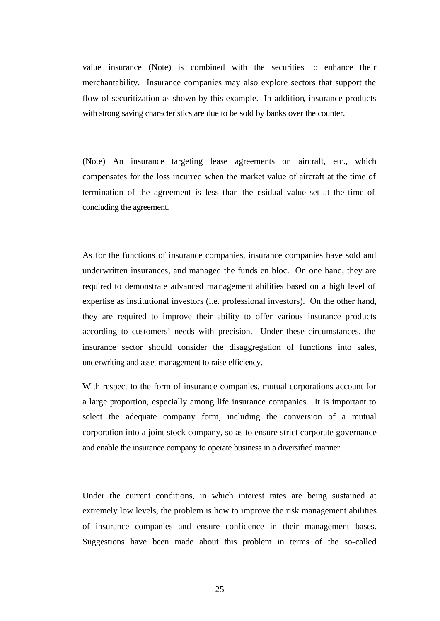value insurance (Note) is combined with the securities to enhance their merchantability. Insurance companies may also explore sectors that support the flow of securitization as shown by this example. In addition, insurance products with strong saving characteristics are due to be sold by banks over the counter.

(Note) An insurance targeting lease agreements on aircraft, etc., which compensates for the loss incurred when the market value of aircraft at the time of termination of the agreement is less than the residual value set at the time of concluding the agreement.

As for the functions of insurance companies, insurance companies have sold and underwritten insurances, and managed the funds en bloc. On one hand, they are required to demonstrate advanced management abilities based on a high level of expertise as institutional investors (i.e. professional investors). On the other hand, they are required to improve their ability to offer various insurance products according to customers' needs with precision. Under these circumstances, the insurance sector should consider the disaggregation of functions into sales, underwriting and asset management to raise efficiency.

With respect to the form of insurance companies, mutual corporations account for a large proportion, especially among life insurance companies. It is important to select the adequate company form, including the conversion of a mutual corporation into a joint stock company, so as to ensure strict corporate governance and enable the insurance company to operate business in a diversified manner.

Under the current conditions, in which interest rates are being sustained at extremely low levels, the problem is how to improve the risk management abilities of insurance companies and ensure confidence in their management bases. Suggestions have been made about this problem in terms of the so-called

25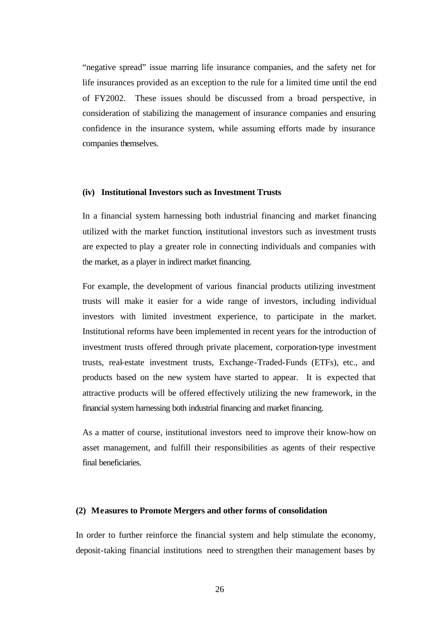"negative spread" issue marring life insurance companies, and the safety net for life insurances provided as an exception to the rule for a limited time until the end of FY2002. These issues should be discussed from a broad perspective, in consideration of stabilizing the management of insurance companies and ensuring confidence in the insurance system, while assuming efforts made by insurance companies themselves.

#### **(iv) Institutional Investors such as Investment Trusts**

In a financial system harnessing both industrial financing and market financing utilized with the market function, institutional investors such as investment trusts are expected to play a greater role in connecting individuals and companies with the market, as a player in indirect market financing.

For example, the development of various financial products utilizing investment trusts will make it easier for a wide range of investors, including individual investors with limited investment experience, to participate in the market. Institutional reforms have been implemented in recent years for the introduction of investment trusts offered through private placement, corporation-type investment trusts, real-estate investment trusts, Exchange-Traded-Funds (ETFs), etc., and products based on the new system have started to appear. It is expected that attractive products will be offered effectively utilizing the new framework, in the financial system harnessing both industrial financing and market financing.

As a matter of course, institutional investors need to improve their know-how on asset management, and fulfill their responsibilities as agents of their respective final beneficiaries.

#### **(2) Measures to Promote Mergers and other forms of consolidation**

In order to further reinforce the financial system and help stimulate the economy, deposit-taking financial institutions need to strengthen their management bases by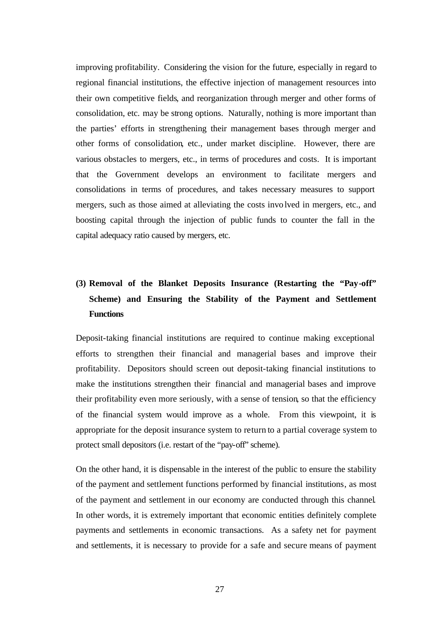improving profitability. Considering the vision for the future, especially in regard to regional financial institutions, the effective injection of management resources into their own competitive fields, and reorganization through merger and other forms of consolidation, etc. may be strong options. Naturally, nothing is more important than the parties' efforts in strengthening their management bases through merger and other forms of consolidation, etc., under market discipline. However, there are various obstacles to mergers, etc., in terms of procedures and costs. It is important that the Government develops an environment to facilitate mergers and consolidations in terms of procedures, and takes necessary measures to support mergers, such as those aimed at alleviating the costs involved in mergers, etc., and boosting capital through the injection of public funds to counter the fall in the capital adequacy ratio caused by mergers, etc.

# **(3) Removal of the Blanket Deposits Insurance (Restarting the "Pay-off" Scheme) and Ensuring the Stability of the Payment and Settlement Functions**

Deposit-taking financial institutions are required to continue making exceptional efforts to strengthen their financial and managerial bases and improve their profitability. Depositors should screen out deposit-taking financial institutions to make the institutions strengthen their financial and managerial bases and improve their profitability even more seriously, with a sense of tension, so that the efficiency of the financial system would improve as a whole. From this viewpoint, it is appropriate for the deposit insurance system to return to a partial coverage system to protect small depositors (i.e. restart of the "pay-off" scheme).

On the other hand, it is dispensable in the interest of the public to ensure the stability of the payment and settlement functions performed by financial institutions, as most of the payment and settlement in our economy are conducted through this channel. In other words, it is extremely important that economic entities definitely complete payments and settlements in economic transactions. As a safety net for payment and settlements, it is necessary to provide for a safe and secure means of payment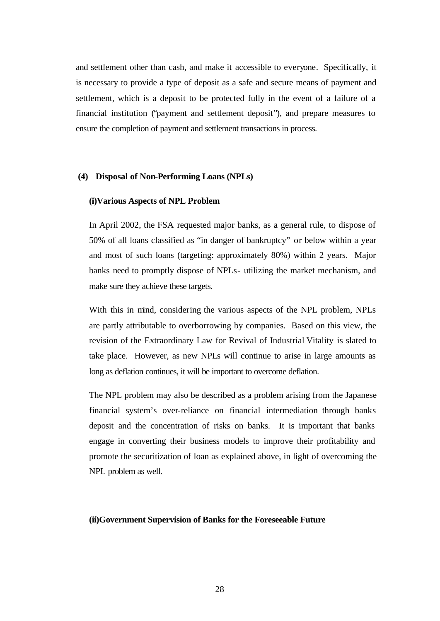and settlement other than cash, and make it accessible to everyone. Specifically, it is necessary to provide a type of deposit as a safe and secure means of payment and settlement, which is a deposit to be protected fully in the event of a failure of a financial institution ("payment and settlement deposit"), and prepare measures to ensure the completion of payment and settlement transactions in process.

### **(4) Disposal of Non-Performing Loans (NPLs)**

### **(i)Various Aspects of NPL Problem**

In April 2002, the FSA requested major banks, as a general rule, to dispose of 50% of all loans classified as "in danger of bankruptcy" or below within a year and most of such loans (targeting: approximately 80%) within 2 years. Major banks need to promptly dispose of NPLs- utilizing the market mechanism, and make sure they achieve these targets.

With this in mind, considering the various aspects of the NPL problem, NPLs are partly attributable to overborrowing by companies. Based on this view, the revision of the Extraordinary Law for Revival of Industrial Vitality is slated to take place. However, as new NPLs will continue to arise in large amounts as long as deflation continues, it will be important to overcome deflation.

The NPL problem may also be described as a problem arising from the Japanese financial system's over-reliance on financial intermediation through banks deposit and the concentration of risks on banks. It is important that banks engage in converting their business models to improve their profitability and promote the securitization of loan as explained above, in light of overcoming the NPL problem as well.

#### **(ii)Government Supervision of Banks for the Foreseeable Future**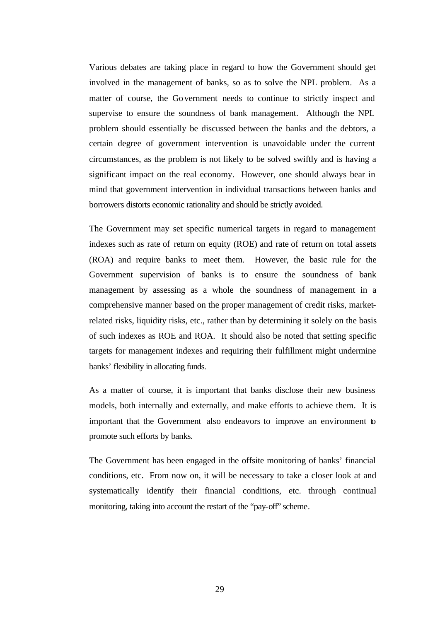Various debates are taking place in regard to how the Government should get involved in the management of banks, so as to solve the NPL problem. As a matter of course, the Government needs to continue to strictly inspect and supervise to ensure the soundness of bank management. Although the NPL problem should essentially be discussed between the banks and the debtors, a certain degree of government intervention is unavoidable under the current circumstances, as the problem is not likely to be solved swiftly and is having a significant impact on the real economy. However, one should always bear in mind that government intervention in individual transactions between banks and borrowers distorts economic rationality and should be strictly avoided.

The Government may set specific numerical targets in regard to management indexes such as rate of return on equity (ROE) and rate of return on total assets (ROA) and require banks to meet them. However, the basic rule for the Government supervision of banks is to ensure the soundness of bank management by assessing as a whole the soundness of management in a comprehensive manner based on the proper management of credit risks, marketrelated risks, liquidity risks, etc., rather than by determining it solely on the basis of such indexes as ROE and ROA. It should also be noted that setting specific targets for management indexes and requiring their fulfillment might undermine banks' flexibility in allocating funds.

As a matter of course, it is important that banks disclose their new business models, both internally and externally, and make efforts to achieve them. It is important that the Government also endeavors to improve an environment to promote such efforts by banks.

The Government has been engaged in the offsite monitoring of banks' financial conditions, etc. From now on, it will be necessary to take a closer look at and systematically identify their financial conditions, etc. through continual monitoring, taking into account the restart of the "pay-off" scheme.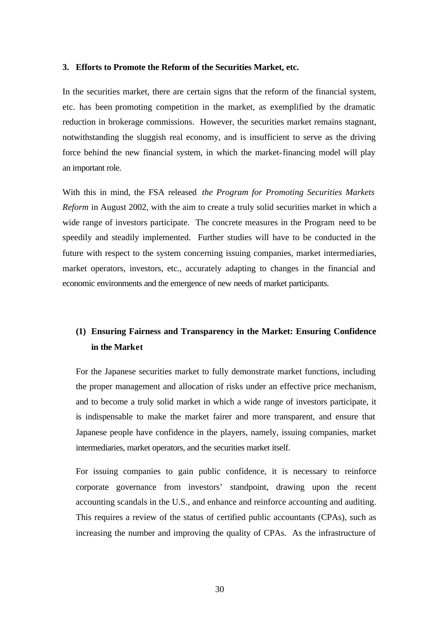### **3. Efforts to Promote the Reform of the Securities Market, etc.**

In the securities market, there are certain signs that the reform of the financial system, etc. has been promoting competition in the market, as exemplified by the dramatic reduction in brokerage commissions. However, the securities market remains stagnant, notwithstanding the sluggish real economy, and is insufficient to serve as the driving force behind the new financial system, in which the market-financing model will play an important role.

With this in mind, the FSA released *the Program for Promoting Securities Markets Reform* in August 2002, with the aim to create a truly solid securities market in which a wide range of investors participate. The concrete measures in the Program need to be speedily and steadily implemented. Further studies will have to be conducted in the future with respect to the system concerning issuing companies, market intermediaries, market operators, investors, etc., accurately adapting to changes in the financial and economic environments and the emergence of new needs of market participants.

# **(1) Ensuring Fairness and Transparency in the Market: Ensuring Confidence in the Market**

For the Japanese securities market to fully demonstrate market functions, including the proper management and allocation of risks under an effective price mechanism, and to become a truly solid market in which a wide range of investors participate, it is indispensable to make the market fairer and more transparent, and ensure that Japanese people have confidence in the players, namely, issuing companies, market intermediaries, market operators, and the securities market itself.

For issuing companies to gain public confidence, it is necessary to reinforce corporate governance from investors' standpoint, drawing upon the recent accounting scandals in the U.S., and enhance and reinforce accounting and auditing. This requires a review of the status of certified public accountants (CPAs), such as increasing the number and improving the quality of CPAs. As the infrastructure of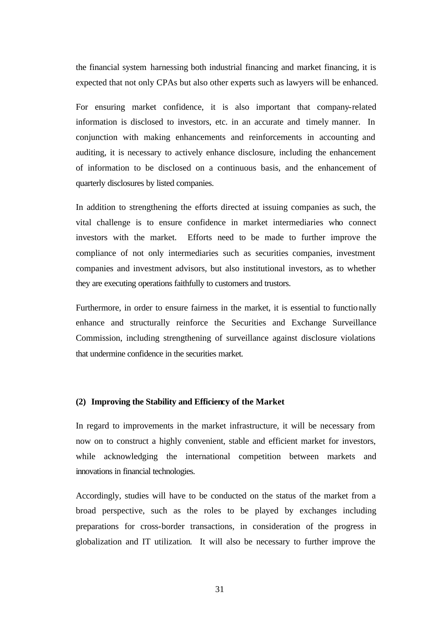the financial system harnessing both industrial financing and market financing, it is expected that not only CPAs but also other experts such as lawyers will be enhanced.

For ensuring market confidence, it is also important that company-related information is disclosed to investors, etc. in an accurate and timely manner. In conjunction with making enhancements and reinforcements in accounting and auditing, it is necessary to actively enhance disclosure, including the enhancement of information to be disclosed on a continuous basis, and the enhancement of quarterly disclosures by listed companies.

In addition to strengthening the efforts directed at issuing companies as such, the vital challenge is to ensure confidence in market intermediaries who connect investors with the market. Efforts need to be made to further improve the compliance of not only intermediaries such as securities companies, investment companies and investment advisors, but also institutional investors, as to whether they are executing operations faithfully to customers and trustors.

Furthermore, in order to ensure fairness in the market, it is essential to functionally enhance and structurally reinforce the Securities and Exchange Surveillance Commission, including strengthening of surveillance against disclosure violations that undermine confidence in the securities market.

# **(2) Improving the Stability and Efficiency of the Market**

In regard to improvements in the market infrastructure, it will be necessary from now on to construct a highly convenient, stable and efficient market for investors, while acknowledging the international competition between markets and innovations in financial technologies.

Accordingly, studies will have to be conducted on the status of the market from a broad perspective, such as the roles to be played by exchanges including preparations for cross-border transactions, in consideration of the progress in globalization and IT utilization. It will also be necessary to further improve the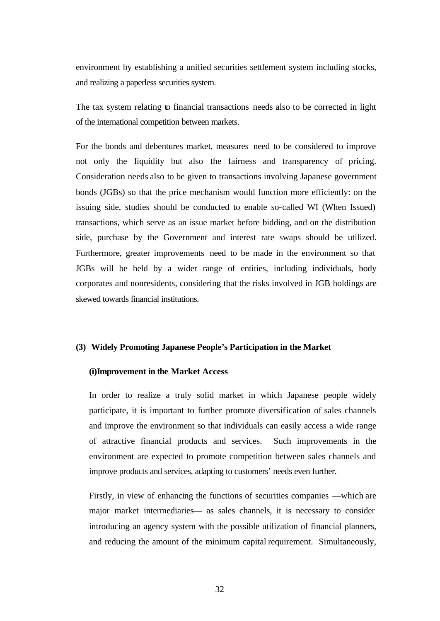environment by establishing a unified securities settlement system including stocks, and realizing a paperless securities system.

The tax system relating to financial transactions needs also to be corrected in light of the international competition between markets.

For the bonds and debentures market, measures need to be considered to improve not only the liquidity but also the fairness and transparency of pricing. Consideration needs also to be given to transactions involving Japanese government bonds (JGBs) so that the price mechanism would function more efficiently: on the issuing side, studies should be conducted to enable so-called WI (When Issued) transactions, which serve as an issue market before bidding, and on the distribution side, purchase by the Government and interest rate swaps should be utilized. Furthermore, greater improvements need to be made in the environment so that JGBs will be held by a wider range of entities, including individuals, body corporates and nonresidents, considering that the risks involved in JGB holdings are skewed towards financial institutions.

### **(3) Widely Promoting Japanese People's Participation in the Market**

### **(i)Improvement in the Market Access**

In order to realize a truly solid market in which Japanese people widely participate, it is important to further promote diversification of sales channels and improve the environment so that individuals can easily access a wide range of attractive financial products and services. Such improvements in the environment are expected to promote competition between sales channels and improve products and services, adapting to customers' needs even further.

Firstly, in view of enhancing the functions of securities companies —which are major market intermediaries— as sales channels, it is necessary to consider introducing an agency system with the possible utilization of financial planners, and reducing the amount of the minimum capital requirement. Simultaneously,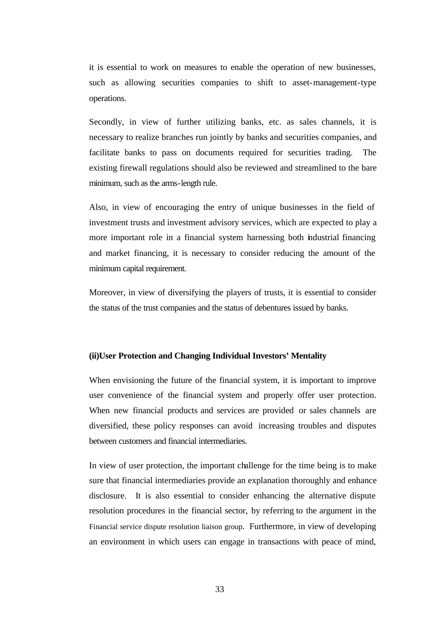it is essential to work on measures to enable the operation of new businesses, such as allowing securities companies to shift to asset-management-type operations.

Secondly, in view of further utilizing banks, etc. as sales channels, it is necessary to realize branches run jointly by banks and securities companies, and facilitate banks to pass on documents required for securities trading. The existing firewall regulations should also be reviewed and streamlined to the bare minimum, such as the arms-length rule.

Also, in view of encouraging the entry of unique businesses in the field of investment trusts and investment advisory services, which are expected to play a more important role in a financial system harnessing both industrial financing and market financing, it is necessary to consider reducing the amount of the minimum capital requirement.

Moreover, in view of diversifying the players of trusts, it is essential to consider the status of the trust companies and the status of debentures issued by banks.

### **(ii)User Protection and Changing Individual Investors' Mentality**

When envisioning the future of the financial system, it is important to improve user convenience of the financial system and properly offer user protection. When new financial products and services are provided or sales channels are diversified, these policy responses can avoid increasing troubles and disputes between customers and financial intermediaries.

In view of user protection, the important challenge for the time being is to make sure that financial intermediaries provide an explanation thoroughly and enhance disclosure. It is also essential to consider enhancing the alternative dispute resolution procedures in the financial sector, by referring to the argument in the Financial service dispute resolution liaison group. Furthermore, in view of developing an environment in which users can engage in transactions with peace of mind,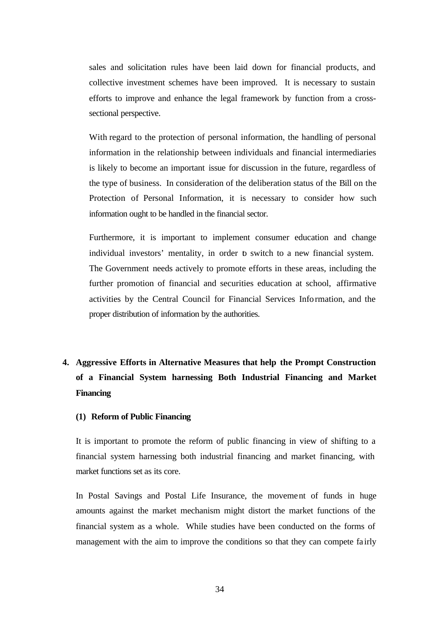sales and solicitation rules have been laid down for financial products, and collective investment schemes have been improved. It is necessary to sustain efforts to improve and enhance the legal framework by function from a crosssectional perspective.

With regard to the protection of personal information, the handling of personal information in the relationship between individuals and financial intermediaries is likely to become an important issue for discussion in the future, regardless of the type of business. In consideration of the deliberation status of the Bill on the Protection of Personal Information, it is necessary to consider how such information ought to be handled in the financial sector.

Furthermore, it is important to implement consumer education and change individual investors' mentality, in order to switch to a new financial system. The Government needs actively to promote efforts in these areas, including the further promotion of financial and securities education at school, affirmative activities by the Central Council for Financial Services Information, and the proper distribution of information by the authorities.

# **4. Aggressive Efforts in Alternative Measures that help the Prompt Construction of a Financial System harnessing Both Industrial Financing and Market Financing**

### **(1) Reform of Public Financing**

It is important to promote the reform of public financing in view of shifting to a financial system harnessing both industrial financing and market financing, with market functions set as its core.

In Postal Savings and Postal Life Insurance, the movement of funds in huge amounts against the market mechanism might distort the market functions of the financial system as a whole. While studies have been conducted on the forms of management with the aim to improve the conditions so that they can compete fa irly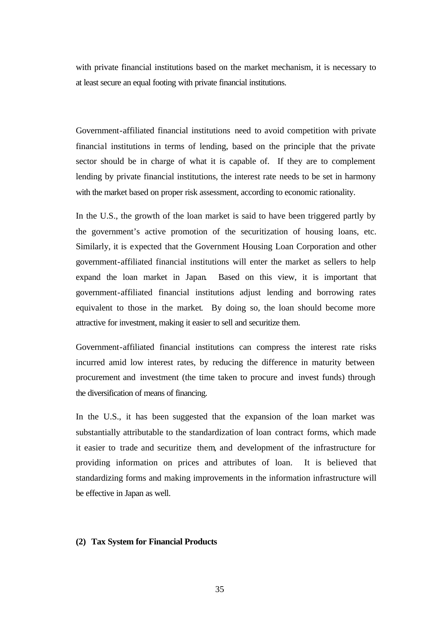with private financial institutions based on the market mechanism, it is necessary to at least secure an equal footing with private financial institutions.

Government-affiliated financial institutions need to avoid competition with private financial institutions in terms of lending, based on the principle that the private sector should be in charge of what it is capable of. If they are to complement lending by private financial institutions, the interest rate needs to be set in harmony with the market based on proper risk assessment, according to economic rationality.

In the U.S., the growth of the loan market is said to have been triggered partly by the government's active promotion of the securitization of housing loans, etc. Similarly, it is expected that the Government Housing Loan Corporation and other government-affiliated financial institutions will enter the market as sellers to help expand the loan market in Japan. Based on this view, it is important that government-affiliated financial institutions adjust lending and borrowing rates equivalent to those in the market. By doing so, the loan should become more attractive for investment, making it easier to sell and securitize them.

Government-affiliated financial institutions can compress the interest rate risks incurred amid low interest rates, by reducing the difference in maturity between procurement and investment (the time taken to procure and invest funds) through the diversification of means of financing.

In the U.S., it has been suggested that the expansion of the loan market was substantially attributable to the standardization of loan contract forms, which made it easier to trade and securitize them, and development of the infrastructure for providing information on prices and attributes of loan. It is believed that standardizing forms and making improvements in the information infrastructure will be effective in Japan as well.

### **(2) Tax System for Financial Products**